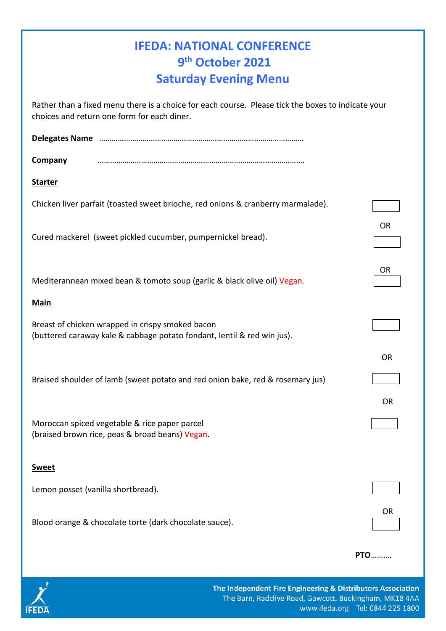| <b>IFEDA: NATIONAL CONFERENCE</b><br>9th October 2021                                                                                             |            |
|---------------------------------------------------------------------------------------------------------------------------------------------------|------------|
| <b>Saturday Evening Menu</b>                                                                                                                      |            |
| Rather than a fixed menu there is a choice for each course. Please tick the boxes to indicate your<br>choices and return one form for each diner. |            |
|                                                                                                                                                   |            |
| Company                                                                                                                                           |            |
| <b>Starter</b>                                                                                                                                    |            |
| Chicken liver parfait (toasted sweet brioche, red onions & cranberry marmalade).                                                                  |            |
| Cured mackerel (sweet pickled cucumber, pumpernickel bread).                                                                                      | <b>OR</b>  |
| Mediterannean mixed bean & tomoto soup (garlic & black olive oil) Vegan.                                                                          | <b>OR</b>  |
| <b>Main</b>                                                                                                                                       |            |
| Breast of chicken wrapped in crispy smoked bacon<br>(buttered caraway kale & cabbage potato fondant, lentil & red win jus).                       |            |
|                                                                                                                                                   | <b>OR</b>  |
| Braised shoulder of lamb (sweet potato and red onion bake, red & rosemary jus)                                                                    |            |
|                                                                                                                                                   | <b>OR</b>  |
| Moroccan spiced vegetable & rice paper parcel<br>(braised brown rice, peas & broad beans) Vegan.                                                  |            |
| <b>Sweet</b>                                                                                                                                      |            |
| Lemon posset (vanilla shortbread).                                                                                                                |            |
|                                                                                                                                                   |            |
| Blood orange & chocolate torte (dark chocolate sauce).                                                                                            | <b>OR</b>  |
|                                                                                                                                                   | <b>PTO</b> |
|                                                                                                                                                   |            |

**IFEDA** 

The Independent Fire Engineering & Distributors Association The Barn, Radclive Road, Gawcott, Buckingham, MK18 4AA www.ifeda.org Tel: 0844 225 1800